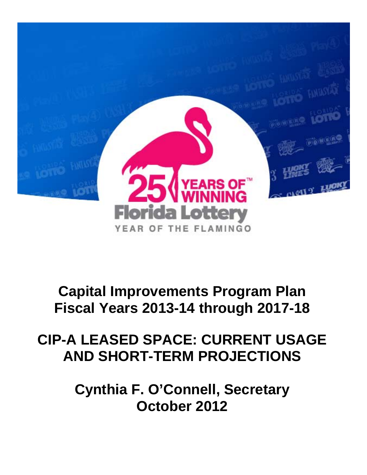

## **Capital Improvements Program Plan Fiscal Years 2013-14 through 2017-18**

## **CIP-A LEASED SPACE: CURRENT USAGE AND SHORT-TERM PROJECTIONS**

**Cynthia F. O'Connell, Secretary October 2012**